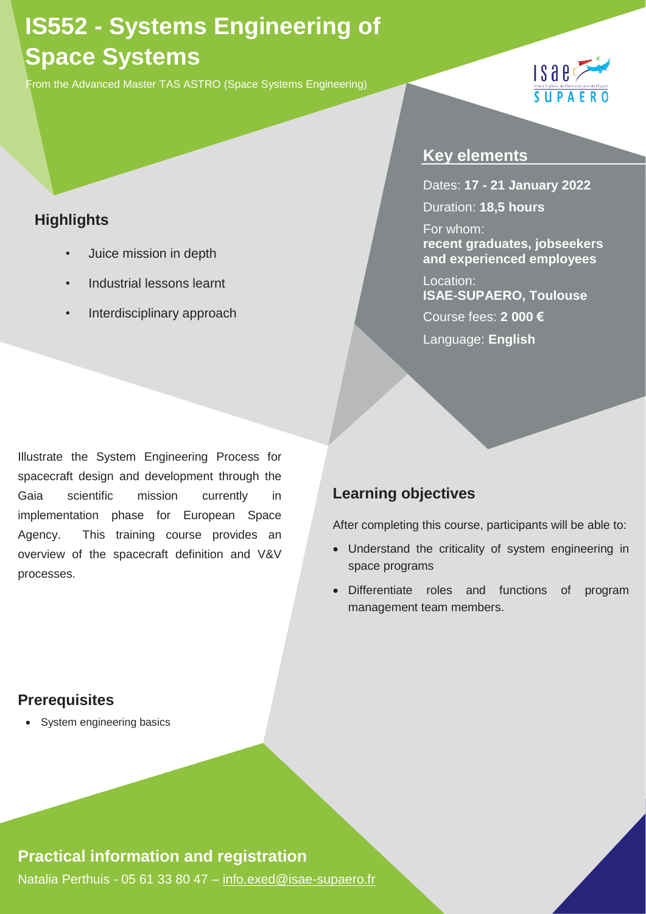# **IS552 - Systems Engineering of Space Systems**

From the Advanced Master TAS ASTRO (Space Systems Engineering)

## **Highlights**

- *•* Juice mission in depth
- *•* Industrial lessons learnt
- *•* Interdisciplinary approach

#### **Key elements**

Dates: **17 - 21 January 2022** Duration: **18,5 hours** For whom: **recent graduates, jobseekers and experienced employees**

 $1$ saes

SUPAE

Location: **ISAE-SUPAERO, Toulouse**  Course fees: **2 000 €** Language: **English**

Illustrate the System Engineering Process for spacecraft design and development through the Gaia scientific mission currently in implementation phase for European Space Agency. This training course provides an overview of the spacecraft definition and V&V processes.

## **Learning objectives**

After completing this course, participants will be able to:

- Understand the criticality of system engineering in space programs
- Differentiate roles and functions of program management team members.

### **Prerequisites**

• System engineering basics

### **Practical information and registration**

Natalia Perthuis - 05 61 33 80 47 - [info.exed@isae-supaero.fr](mailto:info.exed@isae-supaero.fr)